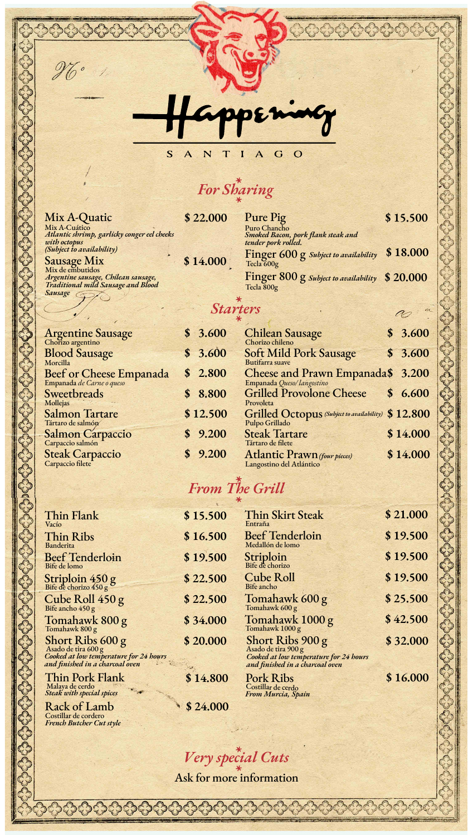

*For Sharing*

| Mix A-Quatic                                | \$22.000 | Pure Pig             |
|---------------------------------------------|----------|----------------------|
| Mix A-Cuático                               |          | Puro Chancho         |
| Atlantic shrimp, garlicky conger eel cheeks |          | <b>Smoked Bacon,</b> |
| with octopus                                |          | tender pork rol      |
| (Subject to availability)                   |          |                      |
|                                             | \$14.000 | Finger 60            |
| Sausage Mix                                 |          | Tecla 600g           |

Bebr

*Sausage*  Mix de embutidos

*French Butcher Cut style*

Costillar de cordero

| Mix A-Quatic                                                                                                                                                                                                                                                            | \$22.000 | Pure Pig                                                    | \$15.500 |
|-------------------------------------------------------------------------------------------------------------------------------------------------------------------------------------------------------------------------------------------------------------------------|----------|-------------------------------------------------------------|----------|
| Mix A-Cuático<br>Atlantic shrimp, garlicky conger eel cheeks                                                                                                                                                                                                            |          | Puro Chancho<br>Smoked Bacon, pork flank steak and          |          |
| with octopus<br>(Subject to availability)                                                                                                                                                                                                                               |          | tender pork rolled.                                         |          |
| <b>Sausage Mix</b>                                                                                                                                                                                                                                                      | \$14.000 | Finger 600 g Subject to availability \$18.000<br>Tecla 600g |          |
| Mix de embutidos<br>Argentine sausage, Chilean sausage,                                                                                                                                                                                                                 |          | Finger 800 g Subject to availability \$20.000               |          |
| Traditional mild Sausage and Blood<br>$\alpha$ . The contract of the contract of the contract of the contract of the contract of the contract of the contract of the contract of the contract of the contract of the contract of the contract of the contract of the co |          | Tecla 800g                                                  |          |

34444

#### *Starters*

| Argentine Sausage                | \$3.600  | Chilean Sausage                                                | \$3.600                   |
|----------------------------------|----------|----------------------------------------------------------------|---------------------------|
|                                  |          |                                                                |                           |
| <b>Blood Sausage</b><br>Morcilla | \$3.600  | <b>Soft Mild Pork Sausage</b>                                  | \$3.600                   |
|                                  |          | Butifarra suave                                                |                           |
|                                  | \$2.800  | Cheese and Prawn Empanada\$ 3.200<br>Empanada Queso/langostino |                           |
| Beef or Cheese Empanada          |          |                                                                |                           |
| Sweetbreads                      | \$8.800  | <b>Grilled Provolone Cheese</b>                                | 6.600<br>$\boldsymbol{s}$ |
| Mollejas                         |          | Provoleta                                                      |                           |
| <b>Salmon Tartare</b>            | \$12.500 | Grilled Octopus (Subject to availability) \$ 12.800            |                           |
| Tártaro de salmón                |          | Pulpo Grillado                                                 |                           |
|                                  | \$9.200  | <b>Steak Tartare</b>                                           | \$14.000                  |
| Salmon Carpaccio                 |          | Tártaro de filete                                              |                           |
|                                  | \$9.200  | <b>Atlantic Prawn</b> (four pieces)                            | \$14.000                  |
| Steak Carpaccio                  |          | Langostino del Atlántico                                       |                           |
|                                  |          |                                                                |                           |

## *From The Grill*

| Thin Flank<br>Vacío                                                                                                      | \$15.500 | Thin Skirt Steak<br>Entraña                                                                                          | \$21.000 |
|--------------------------------------------------------------------------------------------------------------------------|----------|----------------------------------------------------------------------------------------------------------------------|----------|
| Thin Ribs<br><b>Banderita</b>                                                                                            | \$16.500 | <b>Beef Tenderloin</b><br>Medallón de lomo                                                                           | \$19.500 |
| <b>Beef Tenderloin</b><br>Bife de lomo                                                                                   | \$19.500 | Striploin<br>Bife de chorizo                                                                                         | \$19.500 |
| Striploin $450 g$<br>Bife de chorizo $450 g$                                                                             | \$22.500 | <b>Cube Roll</b><br>Bife ancho                                                                                       | \$19.500 |
| Cube Roll $450 g$<br>Bife ancho $450 g$                                                                                  | \$22.500 | Tomahawk 600 g<br>Tomahawk 600 g                                                                                     | \$25.500 |
| Tomahawk 800 g<br>Tomahawk 800 g                                                                                         | \$34.000 | Tomahawk 1000 g<br>Tomahawk 1000 g                                                                                   | \$42.500 |
| Short Ribs $600 g$<br>Asado de tira $600 g$<br>Cooked at low temperature for 24 hours<br>and finished in a charcoal oven | \$20.000 | Short Ribs 900 g<br>Asado de tira 900 g<br>Cooked at low temperature for 24 hours<br>and finished in a charcoal oven | \$32.000 |
| Thin Pork Flank<br>Malaya de cerdo<br>Steak with special spices                                                          | \$14.800 | <b>Pork Ribs</b><br>Costillar de cerdo<br>From Murcia, Spain                                                         | \$16.000 |
| <b>Rack of Lamb</b>                                                                                                      | \$24.000 |                                                                                                                      |          |

*Very special Cuts*

 $2.7$ 

Ask for more information

000000000000000000

 $\infty$